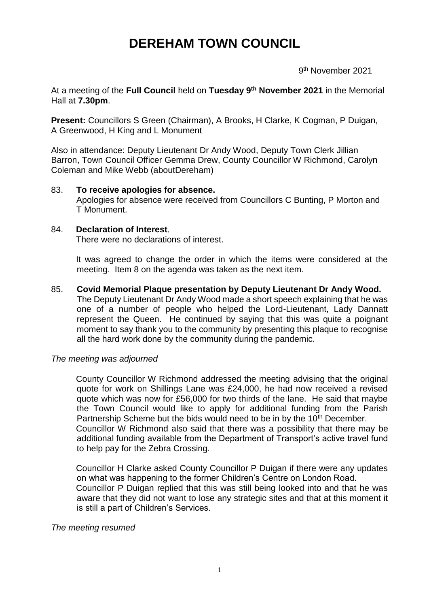# **DEREHAM TOWN COUNCIL**

 9 9<sup>th</sup> November 2021

At a meeting of the **Full Council** held on **Tuesday 9 th November 2021** in the Memorial Hall at **7.30pm**.

**Present:** Councillors S Green (Chairman), A Brooks, H Clarke, K Cogman, P Duigan, A Greenwood, H King and L Monument

Also in attendance: Deputy Lieutenant Dr Andy Wood, Deputy Town Clerk Jillian Barron, Town Council Officer Gemma Drew, County Councillor W Richmond, Carolyn Coleman and Mike Webb (aboutDereham)

#### 83. **To receive apologies for absence.**

Apologies for absence were received from Councillors C Bunting, P Morton and T Monument.

#### 84. **Declaration of Interest**.

There were no declarations of interest.

It was agreed to change the order in which the items were considered at the meeting. Item 8 on the agenda was taken as the next item.

#### 85. **Covid Memorial Plaque presentation by Deputy Lieutenant Dr Andy Wood.**

The Deputy Lieutenant Dr Andy Wood made a short speech explaining that he was one of a number of people who helped the Lord-Lieutenant, Lady Dannatt represent the Queen. He continued by saying that this was quite a poignant moment to say thank you to the community by presenting this plaque to recognise all the hard work done by the community during the pandemic.

#### *The meeting was adjourned*

County Councillor W Richmond addressed the meeting advising that the original quote for work on Shillings Lane was £24,000, he had now received a revised quote which was now for £56,000 for two thirds of the lane. He said that maybe the Town Council would like to apply for additional funding from the Parish Partnership Scheme but the bids would need to be in by the 10<sup>th</sup> December. Councillor W Richmond also said that there was a possibility that there may be additional funding available from the Department of Transport's active travel fund to help pay for the Zebra Crossing.

Councillor H Clarke asked County Councillor P Duigan if there were any updates on what was happening to the former Children's Centre on London Road. Councillor P Duigan replied that this was still being looked into and that he was aware that they did not want to lose any strategic sites and that at this moment it is still a part of Children's Services.

#### *The meeting resumed*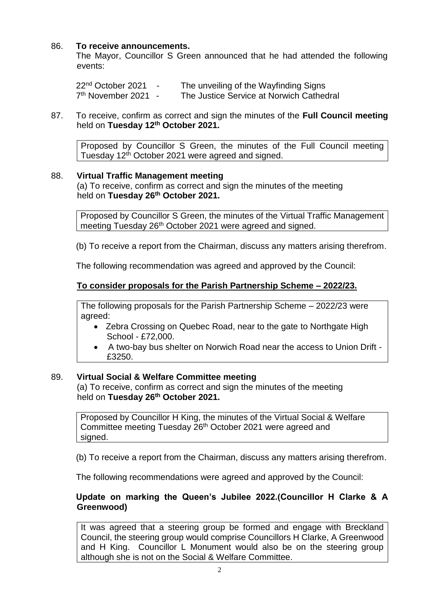# 86. **To receive announcements.**

The Mayor, Councillor S Green announced that he had attended the following events:

22<sup>nd</sup> October 2021 - The unveiling of the Wayfinding Signs  $7<sup>th</sup>$  November 2021 -The Justice Service at Norwich Cathedral

#### 87. To receive, confirm as correct and sign the minutes of the **Full Council meeting** held on **Tuesday 12th October 2021.**

Proposed by Councillor S Green, the minutes of the Full Council meeting Tuesday 12th October 2021 were agreed and signed.

#### 88. **Virtual Traffic Management meeting**

(a) To receive, confirm as correct and sign the minutes of the meeting held on **Tuesday 26th October 2021.**

Proposed by Councillor S Green, the minutes of the Virtual Traffic Management meeting Tuesday 26<sup>th</sup> October 2021 were agreed and signed.

(b) To receive a report from the Chairman, discuss any matters arising therefrom.

The following recommendation was agreed and approved by the Council:

## **To consider proposals for the Parish Partnership Scheme – 2022/23.**

The following proposals for the Parish Partnership Scheme – 2022/23 were agreed:

- Zebra Crossing on Quebec Road, near to the gate to Northgate High School - £72,000.
- A two-bay bus shelter on Norwich Road near the access to Union Drift £3250.

#### 89. **Virtual Social & Welfare Committee meeting**

(a) To receive, confirm as correct and sign the minutes of the meeting held on **Tuesday 26th October 2021.**

Proposed by Councillor H King, the minutes of the Virtual Social & Welfare Committee meeting Tuesday 26<sup>th</sup> October 2021 were agreed and signed.

(b) To receive a report from the Chairman, discuss any matters arising therefrom.

The following recommendations were agreed and approved by the Council:

## **Update on marking the Queen's Jubilee 2022.(Councillor H Clarke & A Greenwood)**

It was agreed that a steering group be formed and engage with Breckland Council, the steering group would comprise Councillors H Clarke, A Greenwood and H King. Councillor L Monument would also be on the steering group although she is not on the Social & Welfare Committee.